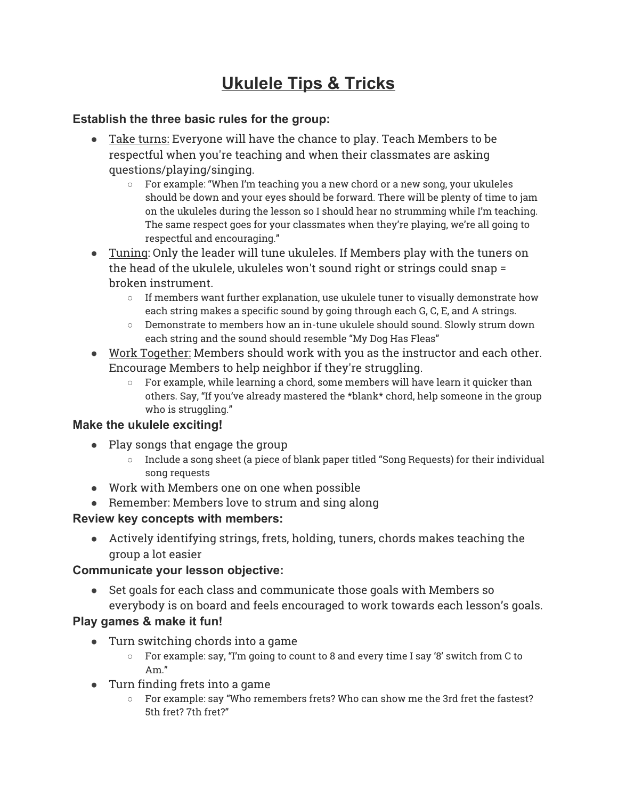# **Ukulele Tips & Tricks**

#### **Establish the three basic rules for the group:**

- Take turns: Everyone will have the chance to play. Teach Members to be respectful when you're teaching and when their classmates are asking questions/playing/singing.
	- $\circ$  For example: "When I'm teaching you a new chord or a new song, your ukuleles should be down and your eyes should be forward. There will be plenty of time to jam on the ukuleles during the lesson so I should hear no strumming while I'm teaching. The same respect goes for your classmates when they're playing, we're all going to respectful and encouraging."
- Tuning: Only the leader will tune ukuleles. If Members play with the tuners on the head of the ukulele, ukuleles won't sound right or strings could snap = broken instrument.
	- $\circ$  If members want further explanation, use ukulele tuner to visually demonstrate how each string makes a specific sound by going through each G, C, E, and A strings.
	- Demonstrate to members how an in-tune ukulele should sound. Slowly strum down each string and the sound should resemble "My Dog Has Fleas"
- Work Together: Members should work with you as the instructor and each other. Encourage Members to help neighbor if they're struggling.
	- $\circ$  For example, while learning a chord, some members will have learn it quicker than others. Say, "If you've already mastered the \*blank\* chord, help someone in the group who is struggling."

#### **Make the ukulele exciting!**

- Play songs that engage the group
	- Include a song sheet (a piece of blank paper titled "Song Requests) for their individual song requests
- Work with Members one on one when possible
- Remember: Members love to strum and sing along

#### **Review key concepts with members:**

● Actively identifying strings, frets, holding, tuners, chords makes teaching the group a lot easier

#### **Communicate your lesson objective:**

● Set goals for each class and communicate those goals with Members so everybody is on board and feels encouraged to work towards each lesson's goals.

#### **Play games & make it fun!**

- Turn switching chords into a game
	- For example: say, "I'm going to count to 8 and every time I say '8' switch from C to Am."
- Turn finding frets into a game
	- For example: say "Who remembers frets? Who can show me the 3rd fret the fastest? 5th fret? 7th fret?"